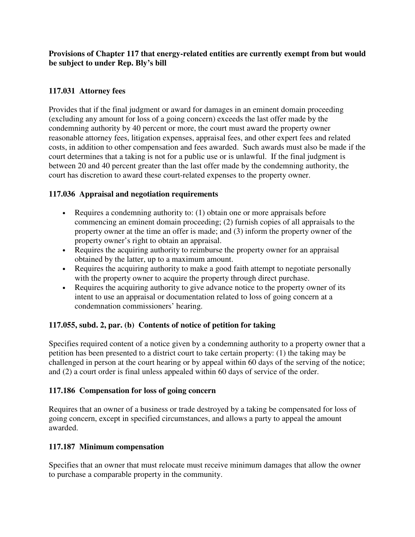**Provisions of Chapter 117 that energy-related entities are currently exempt from but would be subject to under Rep. Bly's bill** 

# **117.031 Attorney fees**

Provides that if the final judgment or award for damages in an eminent domain proceeding (excluding any amount for loss of a going concern) exceeds the last offer made by the condemning authority by 40 percent or more, the court must award the property owner reasonable attorney fees, litigation expenses, appraisal fees, and other expert fees and related costs, in addition to other compensation and fees awarded. Such awards must also be made if the court determines that a taking is not for a public use or is unlawful. If the final judgment is between 20 and 40 percent greater than the last offer made by the condemning authority, the court has discretion to award these court-related expenses to the property owner.

## **117.036 Appraisal and negotiation requirements**

- Requires a condemning authority to: (1) obtain one or more appraisals before commencing an eminent domain proceeding; (2) furnish copies of all appraisals to the property owner at the time an offer is made; and (3) inform the property owner of the property owner's right to obtain an appraisal.
- Requires the acquiring authority to reimburse the property owner for an appraisal obtained by the latter, up to a maximum amount.
- Requires the acquiring authority to make a good faith attempt to negotiate personally with the property owner to acquire the property through direct purchase.
- Requires the acquiring authority to give advance notice to the property owner of its intent to use an appraisal or documentation related to loss of going concern at a condemnation commissioners' hearing.

## **117.055, subd. 2, par. (b) Contents of notice of petition for taking**

Specifies required content of a notice given by a condemning authority to a property owner that a petition has been presented to a district court to take certain property: (1) the taking may be challenged in person at the court hearing or by appeal within 60 days of the serving of the notice; and (2) a court order is final unless appealed within 60 days of service of the order.

### **117.186 Compensation for loss of going concern**

Requires that an owner of a business or trade destroyed by a taking be compensated for loss of going concern, except in specified circumstances, and allows a party to appeal the amount awarded.

## **117.187 Minimum compensation**

Specifies that an owner that must relocate must receive minimum damages that allow the owner to purchase a comparable property in the community.